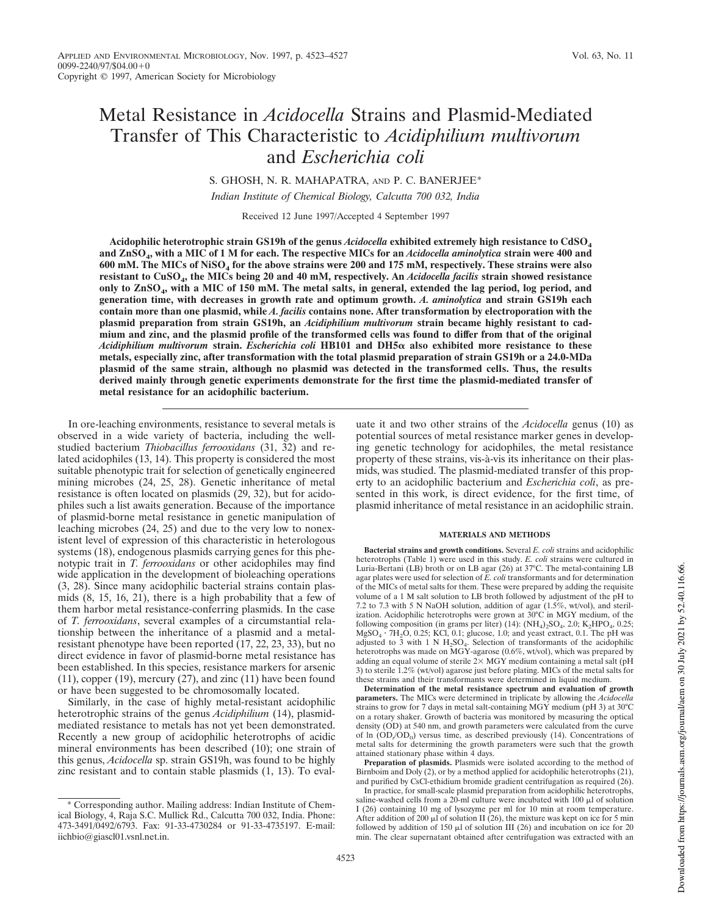# Metal Resistance in *Acidocella* Strains and Plasmid-Mediated Transfer of This Characteristic to *Acidiphilium multivorum* and *Escherichia coli*

S. GHOSH, N. R. MAHAPATRA, AND P. C. BANERJEE\*

*Indian Institute of Chemical Biology, Calcutta 700 032, India*

Received 12 June 1997/Accepted 4 September 1997

**Acidophilic heterotrophic strain GS19h of the genus** *Acidocella* **exhibited extremely high resistance to CdSO<sup>4</sup> and ZnSO<sup>4</sup> , with a MIC of 1 M for each. The respective MICs for an** *Acidocella aminolytica* **strain were 400 and 600 mM. The MICs of NiSO<sup>4</sup> for the above strains were 200 and 175 mM, respectively. These strains were also resistant to CuSO<sup>4</sup> , the MICs being 20 and 40 mM, respectively. An** *Acidocella facilis* **strain showed resistance only to ZnSO<sup>4</sup> , with a MIC of 150 mM. The metal salts, in general, extended the lag period, log period, and generation time, with decreases in growth rate and optimum growth.** *A. aminolytica* **and strain GS19h each contain more than one plasmid, while** *A. facilis* **contains none. After transformation by electroporation with the plasmid preparation from strain GS19h, an** *Acidiphilium multivorum* **strain became highly resistant to cadmium and zinc, and the plasmid profile of the transformed cells was found to differ from that of the original** *Acidiphilium multivorum* **strain.** *Escherichia coli* **HB101 and DH5**a **also exhibited more resistance to these metals, especially zinc, after transformation with the total plasmid preparation of strain GS19h or a 24.0-MDa plasmid of the same strain, although no plasmid was detected in the transformed cells. Thus, the results derived mainly through genetic experiments demonstrate for the first time the plasmid-mediated transfer of metal resistance for an acidophilic bacterium.**

In ore-leaching environments, resistance to several metals is observed in a wide variety of bacteria, including the wellstudied bacterium *Thiobacillus ferrooxidans* (31, 32) and related acidophiles (13, 14). This property is considered the most suitable phenotypic trait for selection of genetically engineered mining microbes (24, 25, 28). Genetic inheritance of metal resistance is often located on plasmids (29, 32), but for acidophiles such a list awaits generation. Because of the importance of plasmid-borne metal resistance in genetic manipulation of leaching microbes (24, 25) and due to the very low to nonexistent level of expression of this characteristic in heterologous systems (18), endogenous plasmids carrying genes for this phenotypic trait in *T. ferrooxidans* or other acidophiles may find wide application in the development of bioleaching operations (3, 28). Since many acidophilic bacterial strains contain plasmids (8, 15, 16, 21), there is a high probability that a few of them harbor metal resistance-conferring plasmids. In the case of *T. ferrooxidans*, several examples of a circumstantial relationship between the inheritance of a plasmid and a metalresistant phenotype have been reported  $(17, 22, 23, 33)$ , but no direct evidence in favor of plasmid-borne metal resistance has been established. In this species, resistance markers for arsenic (11), copper (19), mercury (27), and zinc (11) have been found or have been suggested to be chromosomally located.

Similarly, in the case of highly metal-resistant acidophilic heterotrophic strains of the genus *Acidiphilium* (14), plasmidmediated resistance to metals has not yet been demonstrated. Recently a new group of acidophilic heterotrophs of acidic mineral environments has been described (10); one strain of this genus, *Acidocella* sp. strain GS19h, was found to be highly zinc resistant and to contain stable plasmids (1, 13). To evaluate it and two other strains of the *Acidocella* genus (10) as potential sources of metal resistance marker genes in developing genetic technology for acidophiles, the metal resistance property of these strains, vis-à-vis its inheritance on their plasmids, was studied. The plasmid-mediated transfer of this property to an acidophilic bacterium and *Escherichia coli*, as presented in this work, is direct evidence, for the first time, of plasmid inheritance of metal resistance in an acidophilic strain.

### **MATERIALS AND METHODS**

**Bacterial strains and growth conditions.** Several *E. coli* strains and acidophilic heterotrophs (Table 1) were used in this study. *E. coli* strains were cultured in Luria-Bertani (LB) broth or on LB agar (26) at 37°C. The metal-containing LB agar plates were used for selection of *E. coli* transformants and for determination of the MICs of metal salts for them. These were prepared by adding the requisite volume of a 1 M salt solution to LB broth followed by adjustment of the pH to 7.2 to 7.3 with 5 N NaOH solution, addition of agar  $(1.5\%, wt/vol)$ , and sterilization. Acidophilic heterotrophs were grown at 30°C in MGY medium, of the following composition (in grams per liter)  $(14)$ :  $(NH<sub>4</sub>)<sub>2</sub>SO<sub>4</sub>$ , 2.0;  $K<sub>2</sub>HPO<sub>4</sub>$ , 0.25;  $MgSO_4 \cdot 7H_2O$ , 0.25; KCl, 0.1; glucose, 1.0; and yeast extract, 0.1. The pH was adjusted to 3 with 1 N  $H_2SO_4$ . Selection of transformants of the acidophilic heterotrophs was made on MGY-agarose (0.6%, wt/vol), which was prepared by adding an equal volume of sterile  $2\times$  MGY medium containing a metal salt (pH 3) to sterile 1.2% (wt/vol) agarose just before plating. MICs of the metal salts for these strains and their transformants were determined in liquid medium.

**Determination of the metal resistance spectrum and evaluation of growth parameters.** The MICs were determined in triplicate by allowing the *Acidocella* strains to grow for 7 days in metal salt-containing MGY medium (pH 3) at 30°C on a rotary shaker. Growth of bacteria was monitored by measuring the optical density (OD) at 540 nm, and growth parameters were calculated from the curve of  $\ln (OD_{t}/OD_{0})$  versus time, as described previously (14). Concentrations of metal salts for determining the growth parameters were such that the growth attained stationary phase within 4 days.

**Preparation of plasmids.** Plasmids were isolated according to the method of Birnboim and Doly (2), or by a method applied for acidophilic heterotrophs (21), and purified by CsCl-ethidium bromide gradient centrifugation as required (26).

<sup>\*</sup> Corresponding author. Mailing address: Indian Institute of Chemical Biology, 4, Raja S.C. Mullick Rd., Calcutta 700 032, India. Phone: 473-3491/0492/6793. Fax: 91-33-4730284 or 91-33-4735197. E-mail: iichbio@giascl01.vsnl.net.in.

In practice, for small-scale plasmid preparation from acidophilic heterotrophs, saline-washed cells from a 20-ml culture were incubated with 100  $\mu$ l of solution I (26) containing 10 mg of lysozyme per ml for 10 min at room temperature. After addition of 200  $\mu$ I of solution II (26), the mixture was kept on ice for 5 min followed by addition of 150  $\mu$ l of solution III (26) and incubation on ice for 20 min. The clear supernatant obtained after centrifugation was extracted with an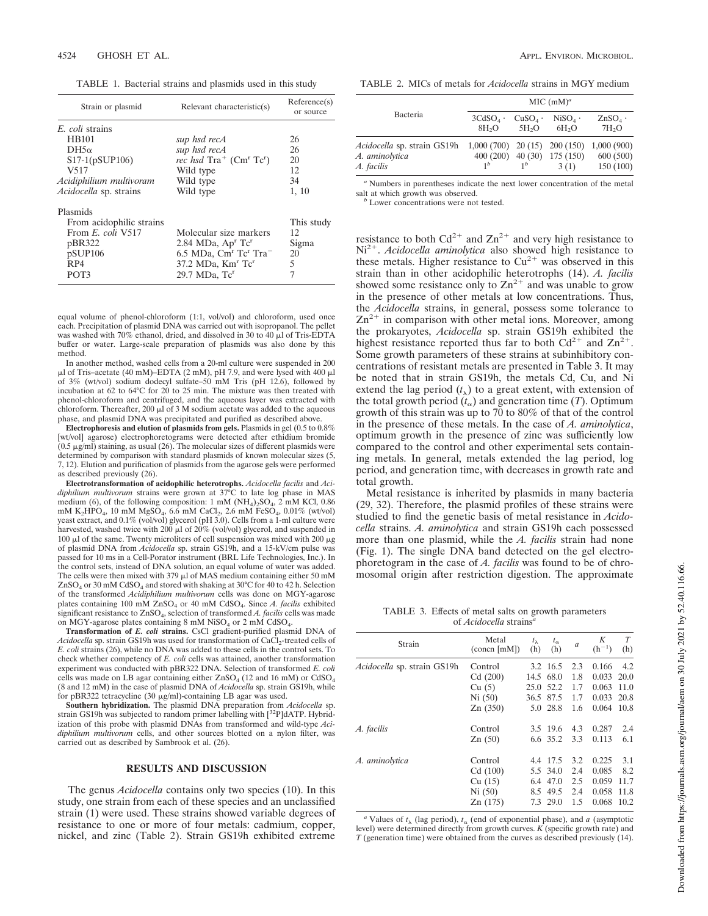TABLE 1. Bacterial strains and plasmids used in this study

| Strain or plasmid             | Relevant characteristic(s)                                  | Reference(s)<br>or source |  |
|-------------------------------|-------------------------------------------------------------|---------------------------|--|
| E. coli strains               |                                                             |                           |  |
| <b>HB101</b>                  | sup hsd recA                                                | 26                        |  |
| $DH5\alpha$                   | sup hsd recA                                                | 26                        |  |
| $S17-1(pSUP106)$              | rec hsd $\text{Tra}^+$ ( $\text{Cm}^r$ $\text{Te}^r$ )      | 20                        |  |
| V517                          | Wild type                                                   | 12                        |  |
| Acidiphilium multivoram       | Wild type                                                   | 34                        |  |
| <i>Acidocella</i> sp. strains | Wild type                                                   | 1, 10                     |  |
| Plasmids                      |                                                             |                           |  |
| From acidophilic strains      |                                                             | This study                |  |
| From E. coli V517             | Molecular size markers                                      | 12                        |  |
| pBR322                        | 2.84 MDa, $Apr Tcr$                                         | Sigma                     |  |
| pSUP106                       | $6.5$ MDa, Cm <sup>r</sup> Tc <sup>r</sup> Tra <sup>-</sup> | 20                        |  |
| RP4                           | 37.2 MDa, Km <sup>r</sup> Tc <sup>r</sup>                   | 5                         |  |
| POT3                          | 29.7 MDa, Tc <sup>r</sup>                                   | 7                         |  |

equal volume of phenol-chloroform (1:1, vol/vol) and chloroform, used once each. Precipitation of plasmid DNA was carried out with isopropanol. The pellet was washed with 70% ethanol, dried, and dissolved in 30 to 40  $\mu$ l of Tris-EDTA buffer or water. Large-scale preparation of plasmids was also done by this method.

In another method, washed cells from a 20-ml culture were suspended in 200  $\mu$ l of Tris–acetate (40 mM)–EDTA (2 mM), pH 7.9, and were lysed with 400  $\mu$ l of 3% (wt/vol) sodium dodecyl sulfate–50 mM Tris (pH 12.6), followed by incubation at 62 to 64°C for 20 to 25 min. The mixture was then treated with phenol-chloroform and centrifuged, and the aqueous layer was extracted with chloroform. Thereafter, 200  $\mu$ l of 3 M sodium acetate was added to the aqueous phase, and plasmid DNA was precipitated and purified as described above.

**Electrophoresis and elution of plasmids from gels.** Plasmids in gel (0.5 to 0.8% [wt/vol] agarose) electrophoretograms were detected after ethidium bromide  $(0.5 \,\mu\text{g/ml})$  staining, as usual  $(26)$ . The molecular sizes of different plasmids were determined by comparison with standard plasmids of known molecular sizes (5, 7, 12). Elution and purification of plasmids from the agarose gels were performed as described previously (26).

**Electrotransformation of acidophilic heterotrophs.** *Acidocella facilis* and *Acidiphilium multivorum* strains were grown at 37°C to late log phase in MAS medium (6), of the following composition:  $1 \text{ mM } (NH_4)_2SO_4$ ,  $2 \text{ mM } KCl$ , 0.86 mM  $K_2HPO_4$ , 10 mM  $MgSO_4$ , 6.6 mM CaCl<sub>2</sub>, 2.6 mM FeSO<sub>4</sub>, 0.01% (wt/vol) yeast extract, and 0.1% (vol/vol) glycerol (pH 3.0). Cells from a 1-ml culture were harvested, washed twice with 200  $\mu$ l of 20% (vol/vol) glycerol, and suspended in 100  $\mu$ l of the same. Twenty microliters of cell suspension was mixed with 200  $\mu$ g of plasmid DNA from *Acidocella* sp. strain GS19h, and a 15-kV/cm pulse was passed for 10 ms in a Cell-Porator instrument (BRL Life Technologies, Inc.). In the control sets, instead of DNA solution, an equal volume of water was added. The cells were then mixed with 379  $\mu$ l of MAS medium containing either 50 mM  $ZnSO_4$  or 30 mM CdSO<sub>4</sub> and stored with shaking at 30°C for 40 to 42 h. Selection of the transformed *Acidiphilium multivorum* cells was done on MGY-agarose plates containing 100 mM ZnSO<sub>4</sub> or 40 mM CdSO<sub>4</sub>. Since *A. facilis* exhibited significant resistance to  $\text{ZnSO}_4$ , selection of transformed *A. facilis* cells was made on MGY-agarose plates containing 8 mM NiSO<sub>4</sub> or 2 mM CdSO<sub>4</sub>.

**Transformation of** *E. coli* **strains.** CsCl gradient-purified plasmid DNA of Acidocella sp. strain GS19h was used for transformation of CaCl<sub>2</sub>-treated cells of *E. coli* strains (26), while no DNA was added to these cells in the control sets. To check whether competency of *E. coli* cells was attained, another transformation experiment was conducted with pBR322 DNA. Selection of transformed *E. coli* cells was made on LB agar containing either  $ZnSO_4$  (12 and 16 mM) or  $CdSO_4$ (8 and 12 mM) in the case of plasmid DNA of *Acidocella* sp. strain GS19h, while for pBR322 tetracycline (30 mg/ml)-containing LB agar was used.

**Southern hybridization.** The plasmid DNA preparation from *Acidocella* sp. strain GS19h was subjected to random primer labelling with [32P]dATP. Hybridization of this probe with plasmid DNAs from transformed and wild-type *Acidiphilium multivorum* cells, and other sources blotted on a nylon filter, was carried out as described by Sambrook et al. (26).

# **RESULTS AND DISCUSSION**

The genus *Acidocella* contains only two species (10). In this study, one strain from each of these species and an unclassified strain (1) were used. These strains showed variable degrees of resistance to one or more of four metals: cadmium, copper, nickel, and zinc (Table 2). Strain GS19h exhibited extreme

TABLE 2. MICs of metals for *Acidocella* strains in MGY medium

| Bacteria                                                                                         | MIC $(mM)^a$                    |                                |                                        |                                    |
|--------------------------------------------------------------------------------------------------|---------------------------------|--------------------------------|----------------------------------------|------------------------------------|
|                                                                                                  | $3CdSO4$ .<br>8H <sub>2</sub> O | $CuSO4$ .<br>5H <sub>2</sub> O | $NISO4$ .<br>6H <sub>2</sub> O         | $ZnSO_4$ .<br>7H <sub>2</sub> O    |
| <i>Acidocella</i> sp. strain GS19h 1,000 (700) 20 (15) 200 (150)<br>A. aminolytica<br>A. facilis | 1 <sup>b</sup>                  | 1 <sup>b</sup>                 | $400(200)$ $40(30)$ $175(150)$<br>3(1) | 1,000(900)<br>600(500)<br>150(100) |

*<sup>a</sup>* Numbers in parentheses indicate the next lower concentration of the metal salt at which growth was observed.

*<sup>b</sup>* Lower concentrations were not tested.

resistance to both  $Cd^{2+}$  and  $Zn^{2+}$  and very high resistance to Ni<sup>2+</sup>. *Acidocella aminolytica* also showed high resistance to these metals. Higher resistance to  $Cu^{2+}$  was observed in this strain than in other acidophilic heterotrophs (14). *A. facilis* showed some resistance only to  $\text{Zn}^{2+}$  and was unable to grow in the presence of other metals at low concentrations. Thus, the *Acidocella* strains, in general, possess some tolerance to  $\text{Zn}^{2+}$  in comparison with other metal ions. Moreover, among the prokaryotes, *Acidocella* sp. strain GS19h exhibited the highest resistance reported thus far to both  $Cd^{2+}$  and  $Zn^{2+}$ . Some growth parameters of these strains at subinhibitory concentrations of resistant metals are presented in Table 3. It may be noted that in strain GS19h, the metals Cd, Cu, and Ni extend the lag period  $(t_{\lambda})$  to a great extent, with extension of the total growth period  $(t_{\alpha})$  and generation time (*T*). Optimum growth of this strain was up to 70 to 80% of that of the control in the presence of these metals. In the case of *A. aminolytica*, optimum growth in the presence of zinc was sufficiently low compared to the control and other experimental sets containing metals. In general, metals extended the lag period, log period, and generation time, with decreases in growth rate and total growth.

Metal resistance is inherited by plasmids in many bacteria (29, 32). Therefore, the plasmid profiles of these strains were studied to find the genetic basis of metal resistance in *Acidocella* strains. *A. aminolytica* and strain GS19h each possessed more than one plasmid, while the *A. facilis* strain had none (Fig. 1). The single DNA band detected on the gel electrophoretogram in the case of *A. facilis* was found to be of chromosomal origin after restriction digestion. The approximate

TABLE 3. Effects of metal salts on growth parameters of *Acidocella* strains*<sup>a</sup>*

| Strain                             | Metal<br>(concn [mM])                             | $t_{\lambda}$<br>(h) | $t_{\alpha}$<br>(h)                                  | a                               | Κ<br>$(h^{-1})$                           | T<br>(h)                           |
|------------------------------------|---------------------------------------------------|----------------------|------------------------------------------------------|---------------------------------|-------------------------------------------|------------------------------------|
| <i>Acidocella</i> sp. strain GS19h | Control<br>Cd(200)                                |                      | 3.2 16.5<br>14.5 68.0                                | 2.3<br>1.8                      | 0.166<br>0.033                            | 4.2<br>20.0                        |
|                                    | Cu(5)                                             |                      | 25.0 52.2                                            | 1.7                             | 0.063                                     | 11.0                               |
|                                    | Ni(50)<br>Zn(350)                                 |                      | 36.5 87.5<br>5.0 28.8                                | 1.7<br>1.6                      | 0.033<br>0.064                            | 20.8<br>10.8                       |
| A. facilis                         | Control<br>Zn(50)                                 |                      | 3.5 19.6<br>6.6 35.2                                 | 4.3<br>3.3                      | 0.287<br>0.113                            | 2.4<br>6.1                         |
| A. aminolytica                     | Control<br>Cd(100)<br>Cu(15)<br>Ni(50)<br>Zn(175) | 8.5                  | 4.4 17.5<br>5.5 34.0<br>6.4 47.0<br>49.5<br>7.3 29.0 | 3.2<br>2.4<br>2.5<br>2.4<br>1.5 | 0.225<br>0.085<br>0.059<br>0.058<br>0.068 | 3.1<br>8.2<br>11.7<br>11.8<br>10.2 |

<sup>*a*</sup> Values of  $t_{\lambda}$  (lag period),  $t_{\alpha}$  (end of exponential phase), and *a* (asymptotic level) were determined directly from growth curves. *K* (specific growth rate) and *T* (generation time) were obtained from the curves as described previously (14).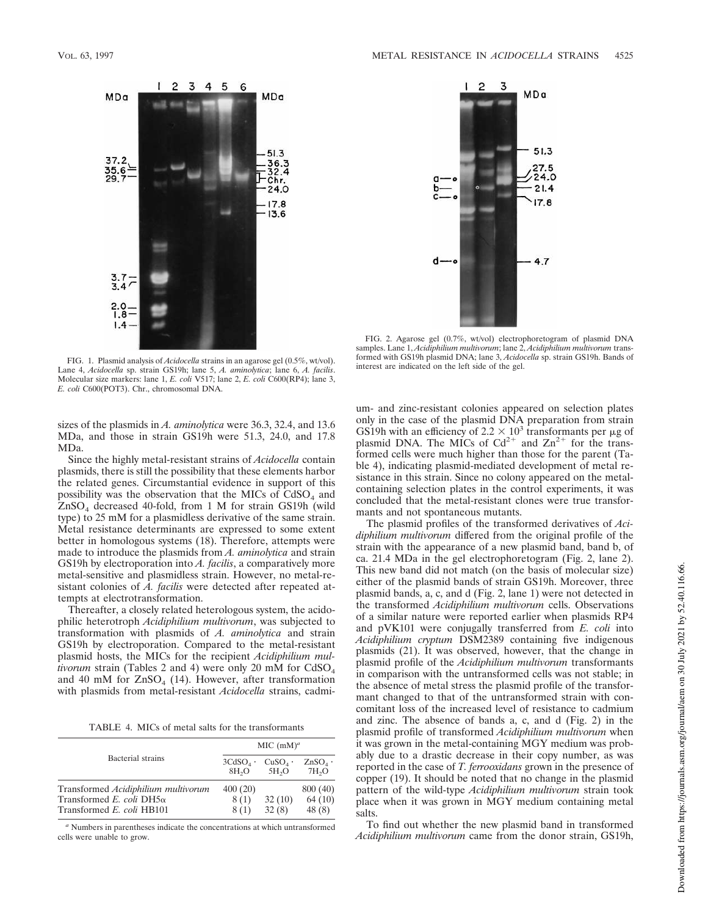

FIG. 1. Plasmid analysis of *Acidocella* strains in an agarose gel (0.5%, wt/vol). Lane 4, *Acidocella* sp. strain GS19h; lane 5, *A. aminolytica*; lane 6, *A. facilis*. Molecular size markers: lane 1, *E. coli* V517; lane 2, *E. coli* C600(RP4); lane 3, *E. coli* C600(POT3). Chr., chromosomal DNA.

sizes of the plasmids in *A. aminolytica* were 36.3, 32.4, and 13.6 MDa, and those in strain GS19h were 51.3, 24.0, and 17.8 MDa.

Since the highly metal-resistant strains of *Acidocella* contain plasmids, there is still the possibility that these elements harbor the related genes. Circumstantial evidence in support of this possibility was the observation that the MICs of  $CdSO<sub>4</sub>$  and ZnSO<sup>4</sup> decreased 40-fold, from 1 M for strain GS19h (wild type) to 25 mM for a plasmidless derivative of the same strain. Metal resistance determinants are expressed to some extent better in homologous systems (18). Therefore, attempts were made to introduce the plasmids from *A. aminolytica* and strain GS19h by electroporation into *A. facilis*, a comparatively more metal-sensitive and plasmidless strain. However, no metal-resistant colonies of *A. facilis* were detected after repeated attempts at electrotransformation.

Thereafter, a closely related heterologous system, the acidophilic heterotroph *Acidiphilium multivorum*, was subjected to transformation with plasmids of *A. aminolytica* and strain GS19h by electroporation. Compared to the metal-resistant plasmid hosts, the MICs for the recipient *Acidiphilium multivorum* strain (Tables 2 and 4) were only 20 mM for  $CdSO<sub>4</sub>$ and 40 mM for  $ZnSO_4$  (14). However, after transformation with plasmids from metal-resistant *Acidocella* strains, cadmi-

TABLE 4. MICs of metal salts for the transformants

|                                                                                                      | MIC $(mM)^a$                    |                                |                                 |  |  |
|------------------------------------------------------------------------------------------------------|---------------------------------|--------------------------------|---------------------------------|--|--|
| Bacterial strains                                                                                    | $3CdSO4$ .<br>8H <sub>2</sub> O | $CuSO4$ .<br>5H <sub>2</sub> O | $ZnSO_4$ .<br>7H <sub>2</sub> O |  |  |
| Transformed Acidiphilium multivorum<br>Transformed E. coli DH5 $\alpha$<br>Transformed E. coli HB101 | 400(20)<br>8(1)<br>8(1)         | 32(10)<br>32(8)                | 800 (40)<br>64(10)<br>48(8)     |  |  |

*<sup>a</sup>* Numbers in parentheses indicate the concentrations at which untransformed cells were unable to grow.



FIG. 2. Agarose gel (0.7%, wt/vol) electrophoretogram of plasmid DNA samples. Lane 1, *Acidiphilium multivorum*; lane 2, *Acidiphilium multivorum* transformed with GS19h plasmid DNA; lane 3, *Acidocella* sp. strain GS19h. Bands of interest are indicated on the left side of the gel.

um- and zinc-resistant colonies appeared on selection plates only in the case of the plasmid DNA preparation from strain GS19h with an efficiency of 2.2  $\times$  10<sup>3</sup> transformants per  $\mu$ g of plasmid DNA. The MICs of  $Cd^{2+}$  and  $Zn^{2+}$  for the transformed cells were much higher than those for the parent (Table 4), indicating plasmid-mediated development of metal resistance in this strain. Since no colony appeared on the metalcontaining selection plates in the control experiments, it was concluded that the metal-resistant clones were true transformants and not spontaneous mutants.

The plasmid profiles of the transformed derivatives of *Acidiphilium multivorum* differed from the original profile of the strain with the appearance of a new plasmid band, band b, of ca. 21.4 MDa in the gel electrophoretogram (Fig. 2, lane 2). This new band did not match (on the basis of molecular size) either of the plasmid bands of strain GS19h. Moreover, three plasmid bands, a, c, and d (Fig. 2, lane 1) were not detected in the transformed *Acidiphilium multivorum* cells. Observations of a similar nature were reported earlier when plasmids RP4 and pVK101 were conjugally transferred from *E. coli* into *Acidiphilium cryptum* DSM2389 containing five indigenous plasmids (21). It was observed, however, that the change in plasmid profile of the *Acidiphilium multivorum* transformants in comparison with the untransformed cells was not stable; in the absence of metal stress the plasmid profile of the transformant changed to that of the untransformed strain with concomitant loss of the increased level of resistance to cadmium and zinc. The absence of bands a, c, and d (Fig. 2) in the plasmid profile of transformed *Acidiphilium multivorum* when it was grown in the metal-containing MGY medium was probably due to a drastic decrease in their copy number, as was reported in the case of *T. ferrooxidans* grown in the presence of copper (19). It should be noted that no change in the plasmid pattern of the wild-type *Acidiphilium multivorum* strain took place when it was grown in MGY medium containing metal salts.

To find out whether the new plasmid band in transformed *Acidiphilium multivorum* came from the donor strain, GS19h,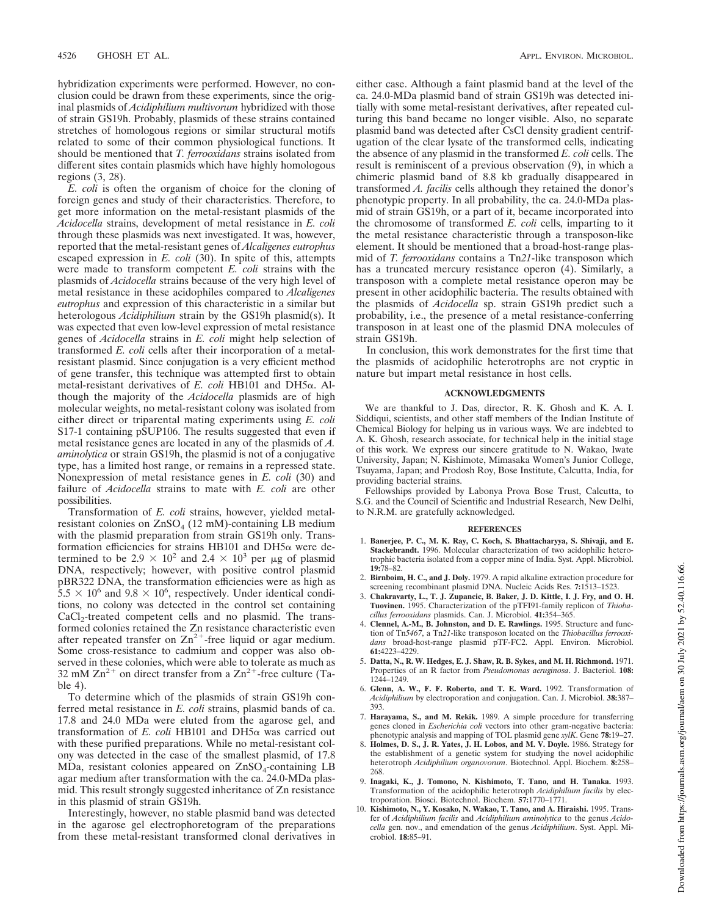hybridization experiments were performed. However, no conclusion could be drawn from these experiments, since the original plasmids of *Acidiphilium multivorum* hybridized with those of strain GS19h. Probably, plasmids of these strains contained stretches of homologous regions or similar structural motifs related to some of their common physiological functions. It should be mentioned that *T. ferrooxidans* strains isolated from different sites contain plasmids which have highly homologous regions (3, 28).

*E. coli* is often the organism of choice for the cloning of foreign genes and study of their characteristics. Therefore, to get more information on the metal-resistant plasmids of the *Acidocella* strains, development of metal resistance in *E. coli* through these plasmids was next investigated. It was, however, reported that the metal-resistant genes of *Alcaligenes eutrophus* escaped expression in *E. coli* (30). In spite of this, attempts were made to transform competent *E. coli* strains with the plasmids of *Acidocella* strains because of the very high level of metal resistance in these acidophiles compared to *Alcaligenes eutrophus* and expression of this characteristic in a similar but heterologous *Acidiphilium* strain by the GS19h plasmid(s). It was expected that even low-level expression of metal resistance genes of *Acidocella* strains in *E. coli* might help selection of transformed *E. coli* cells after their incorporation of a metalresistant plasmid. Since conjugation is a very efficient method of gene transfer, this technique was attempted first to obtain metal-resistant derivatives of *E. coli* HB101 and DH5a. Although the majority of the *Acidocella* plasmids are of high molecular weights, no metal-resistant colony was isolated from either direct or triparental mating experiments using *E. coli* S17-1 containing pSUP106. The results suggested that even if metal resistance genes are located in any of the plasmids of *A. aminolytica* or strain GS19h, the plasmid is not of a conjugative type, has a limited host range, or remains in a repressed state. Nonexpression of metal resistance genes in *E. coli* (30) and failure of *Acidocella* strains to mate with *E. coli* are other possibilities.

Transformation of *E. coli* strains, however, yielded metalresistant colonies on ZnSO<sub>4</sub> (12 mM)-containing LB medium with the plasmid preparation from strain GS19h only. Transformation efficiencies for strains HB101 and DH5 $\alpha$  were determined to be  $2.9 \times 10^2$  and  $2.4 \times 10^3$  per µg of plasmid DNA, respectively; however, with positive control plasmid pBR322 DNA, the transformation efficiencies were as high as  $5.5 \times 10^6$  and  $9.8 \times 10^6$ , respectively. Under identical conditions, no colony was detected in the control set containing  $CaCl<sub>2</sub>$ -treated competent cells and no plasmid. The transformed colonies retained the Zn resistance characteristic even after repeated transfer on  $Zn^{2+}$ -free liquid or agar medium. Some cross-resistance to cadmium and copper was also observed in these colonies, which were able to tolerate as much as 32 mM  $\text{Zn}^{2+}$  on direct transfer from a  $\text{Zn}^{2+}$ -free culture (Table 4).

To determine which of the plasmids of strain GS19h conferred metal resistance in *E. coli* strains, plasmid bands of ca. 17.8 and 24.0 MDa were eluted from the agarose gel, and transformation of  $E$ . *coli* HB101 and DH5 $\alpha$  was carried out with these purified preparations. While no metal-resistant colony was detected in the case of the smallest plasmid, of 17.8  $MDa$ , resistant colonies appeared on  $ZnSO_4$ -containing LB agar medium after transformation with the ca. 24.0-MDa plasmid. This result strongly suggested inheritance of Zn resistance in this plasmid of strain GS19h.

Interestingly, however, no stable plasmid band was detected in the agarose gel electrophoretogram of the preparations from these metal-resistant transformed clonal derivatives in either case. Although a faint plasmid band at the level of the ca. 24.0-MDa plasmid band of strain GS19h was detected initially with some metal-resistant derivatives, after repeated culturing this band became no longer visible. Also, no separate plasmid band was detected after CsCl density gradient centrifugation of the clear lysate of the transformed cells, indicating the absence of any plasmid in the transformed *E. coli* cells. The result is reminiscent of a previous observation (9), in which a chimeric plasmid band of 8.8 kb gradually disappeared in transformed *A. facilis* cells although they retained the donor's phenotypic property. In all probability, the ca. 24.0-MDa plasmid of strain GS19h, or a part of it, became incorporated into the chromosome of transformed *E. coli* cells, imparting to it the metal resistance characteristic through a transposon-like element. It should be mentioned that a broad-host-range plasmid of *T. ferrooxidans* contains a Tn*21*-like transposon which has a truncated mercury resistance operon (4). Similarly, a transposon with a complete metal resistance operon may be present in other acidophilic bacteria. The results obtained with the plasmids of *Acidocella* sp. strain GS19h predict such a probability, i.e., the presence of a metal resistance-conferring transposon in at least one of the plasmid DNA molecules of strain GS19h.

In conclusion, this work demonstrates for the first time that the plasmids of acidophilic heterotrophs are not cryptic in nature but impart metal resistance in host cells.

## **ACKNOWLEDGMENTS**

We are thankful to J. Das, director, R. K. Ghosh and K. A. I. Siddiqui, scientists, and other staff members of the Indian Institute of Chemical Biology for helping us in various ways. We are indebted to A. K. Ghosh, research associate, for technical help in the initial stage of this work. We express our sincere gratitude to N. Wakao, Iwate University, Japan; N. Kishimote, Mimasaka Women's Junior College, Tsuyama, Japan; and Prodosh Roy, Bose Institute, Calcutta, India, for providing bacterial strains.

Fellowships provided by Labonya Prova Bose Trust, Calcutta, to S.G. and the Council of Scientific and Industrial Research, New Delhi, to N.R.M. are gratefully acknowledged.

#### **REFERENCES**

- 1. **Banerjee, P. C., M. K. Ray, C. Koch, S. Bhattacharyya, S. Shivaji, and E. Stackebrandt.** 1996. Molecular characterization of two acidophilic heterotrophic bacteria isolated from a copper mine of India. Syst. Appl. Microbiol. **19:**78–82.
- 2. **Birnboim, H. C., and J. Doly.** 1979. A rapid alkaline extraction procedure for screening recombinant plasmid DNA. Nucleic Acids Res. **7:**1513–1523.
- 3. **Chakravarty, L., T. J. Zupancic, B. Baker, J. D. Kittle, I. J. Fry, and O. H. Tuovinen.** 1995. Characterization of the pTFI91-family replicon of *Thiobacillus ferrooxidans* plasmids. Can. J. Microbiol. **41:**354–365.
- 4. **Clennel, A.-M., B. Johnston, and D. E. Rawlings.** 1995. Structure and function of Tn*5467*, a Tn*21*-like transposon located on the *Thiobacillus ferrooxidans* broad-host-range plasmid pTF-FC2. Appl. Environ. Microbiol. **61:**4223–4229.
- 5. **Datta, N., R. W. Hedges, E. J. Shaw, R. B. Sykes, and M. H. Richmond.** 1971. Properties of an R factor from *Pseudomonas aeruginosa*. J. Bacteriol. **108:** 1244–1249.
- 6. **Glenn, A. W., F. F. Roberto, and T. E. Ward.** 1992. Transformation of *Acidiphilium* by electroporation and conjugation. Can. J. Microbiol. **38:**387– 393.
- 7. **Harayama, S., and M. Rekik.** 1989. A simple procedure for transferring genes cloned in *Escherichia coli* vectors into other gram-negative bacteria: phenotypic analysis and mapping of TOL plasmid gene *xylK*. Gene **78:**19–27.
- 8. **Holmes, D. S., J. R. Yates, J. H. Lobos, and M. V. Doyle.** 1986. Strategy for the establishment of a genetic system for studying the novel acidophilic heterotroph *Acidiphilium organovorum*. Biotechnol. Appl. Biochem. **8:**258– 268.
- 9. **Inagaki, K., J. Tomono, N. Kishimoto, T. Tano, and H. Tanaka.** 1993. Transformation of the acidophilic heterotroph *Acidiphilium facilis* by electroporation. Biosci. Biotechnol. Biochem. **57:**1770–1771.
- 10. **Kishimoto, N., Y. Kosako, N. Wakao, T. Tano, and A. Hiraishi.** 1995. Transfer of *Acidiphilium facilis* and *Acidiphilium aminolytica* to the genus *Acidocella* gen. nov., and emendation of the genus *Acidiphilium*. Syst. Appl. Microbiol. **18:**85–91.